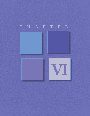## CHAPTER

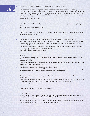

Day <sup>1.</sup> Please, read the chapter, at least, twice before starting the study guide.<br>
2. This chapter begins with an important truth. Looking spiritual is not the Pharisees, who should have been diligently looking for the M **2.** This chapter begins with an important truth. Looking spiritual is not the same as knowing God. The Pharisees, who should have been diligently looking for the Messiah, could not see him standing right in front of them. They were so hung up on looking the part of one who loved and served God, they missed the actual point…it is a relationship. Have you ever been around someone who is obsessed with looking spiritual?

Were they pleasant to be around?

**3.** Luke tells us it was a Sabbath day and Jesus, with his disciples, are walking down a road, by a grain field.

What were some of the disciples doing?

**4.** This was not considered stealing; it was a practice called gleaning. Do a bit of research on gleaning. Write down any facts you find.

**5.** The Biblical concept of gleaning is first found in Leviticus 19:9 and Deuteronomy 23:25. When wheat and barley fields were ready to be harvested, some of the grain was allowed to fall to the ground as provision for the poor or needy. Israelite law also required the corners of the fields were not to be harvested.

The Pharisees would have been familiar with the law of gleaning. It was unlawful to harvest on the Sabbath but is that what the disciples were doing? The word "Sabbath" means rest, no work

Leviticus 19:9

"When you reap the harvest of your land, do not reap to the very edges of your field or gather *the gleanings of your harvest."*

Deuteronomy 23:25

*If you enter your neighbor's grainfield, you may pick kernels with your hands, but you must not put a sickle to their standing grain.*

**6.** The Pharisees consider themselves experts in the scriptures. Jesus asked, *"Have you never read…?"* It made them very angry. I can almost hear them murmuring among themselves. Who is he to suggest we do not know the scriptures?

Have you ever known someone who prided themselves because of all the scripture they have memorized?

They love to quote it to prove a point, but little joy is seen in their day-to-day activities. Compassion toward others is almost non-existent. They often have a very judgmental attitude. What is missing?

If it is not a lack of knowledge, what is it they lack?

Read Micah 6:8

*He has told you, O man, what is good; and what does the LORD require of you but to do justice, and to love kindness, and to walk humbly with your God?*

**7.** Verse 5 is a very important verse. The word translated Lord is Kurios, which means the one to whom a thing belongs. What does it mean to be Lord of the Sabbath?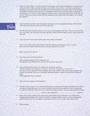**8.** This title, "Son of Man," is found in the New Testament several times. In Matthew it occurs over 30 times, in Mark 15 times, in Luke 25 times, and in John a dozen times. It is always Jesus Himself speaking, except once, when the bystanders ask what He means by the title (John 12:34). Outside the Gospels, it occurs only once in Acts, in Stephen's speech (Acts 7:56), and twice in the Book of Revelation (1:13; 14:14). In other places in scripture Jesus is called the Son of God. Both titles are correct. Why do you believe Jesus used the expression Son of Man when declaring he was Lord of the Sabbath?



**9.** Luke 6:6 tells us another week has gone by and Jesus is in the synagogue teaching. What did you learn about the man who came up to Jesus that day?

- **10.** The Pharisees and teachers of the law were also at the synagogue that day. It was not unusual that they were there, but why they were there that day? What motivated them to be so close to Jesus all the time?
- **11.** Can a person be close and watching Jesus and remain unchanged?

 Verse 7 says "they watched him closely." Were the Pharisees watching to learn or accuse? Have you ever missed something that was clearly right in front of you?

What caused you to miss it?

**12.** Was Jesus aware of their intentions?

Did it change anything that he planned to do? Knowing how the Pharisees felt, what did Jesus tell the man to do?

**13.** Jesus presented them with a very simple, yet rhetorical, question. "Which is lawful on the Sabbath: to do good or to do evil, to save life or to destroy it?" Of course, no one answered. While standing right in the middle of the room, Jesus asked the man stretch out his hand. That was a seemingly impossible thing to request, the man had a withered hand.

What happened when he obeyed?

- **14.** What was the response of the Pharisees?
- **15.** Now let's look at verses 12-16. Jesus had gone up on a mountain and spent the night praying. Jesus was fully God and fully man. As a man he needed to know the clear direction. The next morning, he called his followers, those who were with him learning each day. And from among them he chose,

whom he also designated . Verse 13

**16.** These were twelve ordinary men with diverse personalities and professions. I can almost hear Casting Crowns singing "You picked 12 outsiders nobody would've chosen, and You changed the world" God loves to use the simple to confound the wise. Are you ready to be used by God?

**17.** Define apostle.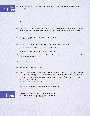

**18.** Write the names of the men chosen to be Jesus inner circle. Those he would soon send out as his messengers.

| a. | g. |
|----|----|
| b. | h. |
| c. | i. |
| d. | j. |
| e. | k. |
| f. | 1. |
|    |    |

- **19.** There isn't much we know about these men. Through our previous studies you may recall a few facts about some of them. Jot down any information you know about the men listed in question 18.
- **20.** Do you find it hard to believe that Jesus chose these men? Especially Judas Iscariot.
- **21.** Do you find it difficult to believe that Jesus would send his Spirit to woo you?

That he would desire to have a personal relationship with you?

 Did you say yes, the very first time the Spirit spoke to you?

- **22.** Luke 6:17, tells us Jesus went down with his disciples and a large crowd appeared. Where had all these people come from?
- **23.** Why had they come to see Jesus?
- **24.** Why did they want to touch Jesus?
- **25.** This next section of Luke 6 is often a bit confusing to the reader. Luke states it was a level place and Matthew 5 said, Jesus went up on a mountainside. There is a plateau (level place) near Capernaum by the Sea of Galilee. This could have been the same event or two very similar sermons. This teaching is rich and would bear repeating. So, now that we are passed this difficulty, let's take a closer look at the teaching. How would you title Luke 6:17-26?

What are two key words we see over and over in these verses?



**26.** In verses 20-23, what did Jesus say about being blessed. (In your Bible, highlight in yellow the word "blessed.") Who are the blessed mentioned in these verses and why?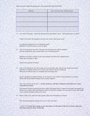## These are often called the Beatitudes. They should BE OUR ATTITUDE!

| Blessed | How and why they will be blessed |  |  |
|---------|----------------------------------|--|--|
|         |                                  |  |  |
|         |                                  |  |  |
|         |                                  |  |  |
|         |                                  |  |  |
|         |                                  |  |  |
|         |                                  |  |  |

**27.** Let's dig a bit deeper. Luke 6:20 mentions the poor.Define "poor." Specifically, poor in what?

If they will receive the kingdom of God, then what is their great need?

 Is it physical, financial or is it a spiritual need? Matthew 5:3 refers to this as poor in spirit.

**28.** Luke 6:21 speaks of one who is hungry and promises they will be satisfied. Do they desperately need a good meal or is it something else?

Matthew 5:6 refers to them as one who hungers and thirsts for righteousness. What type of hunger is this?

What is the promise for them?

**29.** Luke 6:21b speaks of one who weeps now, yet promises they will one day laugh and rejoice. Matthew 5:4 speaks of those who mourn and will one day be comforted. What do you believe they are weeping and mourning over?

Jesus is speaking of spiritual things, so we must be very careful to keep scripture in context. When will this promised laughter and comfort happen?

 Jesus says in John 16:33 that "*…in this world you will have trouble but take heart for I have overcome the world."* 

The tension between experiencing the trouble and taking heart is where most people get tripped up. While we are still in this unredeemed world we will have troubles, but our hope is not in this world, it is in Christ's finished work on the cross.

**30.** Read 1 John 5:13, what does the apostle John want all believers to know?

How does knowing this change the way we face each day?

1 John 5:13 *I write these things to you who believe in the name of the Son of God so that you may know that you have eternal life.*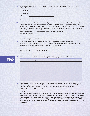- **31.** Luke 6:22 speaks of those who are hated. How does the text tell us this will be expressed?
	- You will be hated
	- You will be
	- You will be
	- You will be

Because

**32.** If you are suffering and feeling frustrated, if you are asking yourself why all this is happening? My sweet friend, it is simply the nature of this world. If you move to a region near the equator, you wouldn't be surprised if it was hot, because it is the nature of the area near the equator. If you moved to the south pole, you would not be surprised it is terribly cold and frigid, all the time. That is the nature of the area in the South Pole.

If you are a believer, you are a sojourner here. This is not your home. Where is your home?

Luke 6:23 says your reward is in  $\overline{\phantom{a}}$ 

**33.** As believers and followers of Christ, how are we to respond to negative treatment? Do not miss the words of Jesus in verse 23, this can be a life-changer. Our thoughts become words and actions; others will see our Savior if we follow this command.

 What will this look like as we face difficulties?



**34.** In verses 24-26, Jesus names four woes. In your Bible, highlight in orange the "woes" listed.

| Woe | Why? |
|-----|------|
|     |      |
|     |      |
|     |      |
|     |      |
|     |      |
|     |      |
|     |      |

**35.** These woes are spoken to those who are attempting to find their fulfillment in this world. Those who lack spiritual perception and are oblivious to the importance of Jesus' gift of salvation. Sadly, Jesus said they have received their reward. Why will this earthly reward never be enough? Read 1 John 2:15-17 TPT, then answer.

## 1 John 2:15-17

*Don't set the affections of your heart on this world or in loving the things of the world. The love*  of the Father and the love of the world are incompatible. 16For all that the world can offer us- *the gratification of our flesh, the allurement of the things of the world, and the obsession with status and importance —none of these things come from The Father but from the world. 17This world and its desires are in the process of passing away, but those who love to do the will of God live forever.*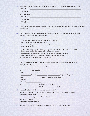**36.** Luke 6:27-31 paints a picture of true kingdom love. What will it look like if we love in this way?

| a. We will love      |  |  |  |
|----------------------|--|--|--|
| b. We will do _      |  |  |  |
| c. We will bless     |  |  |  |
| d. We will pray      |  |  |  |
| e. We will give to _ |  |  |  |
| f. We will do _      |  |  |  |
|                      |  |  |  |

- **37.** After filling in the blanks above, think back over your conversations and actions this week, would this describe you?
- **38.** In Luke 6:32-34, highlight the repeated phrase, in orange. Is it hard to love, do good, and lend to others in the way described in these verses?

<sup>32</sup> "If you love those who love you, what credit is that to you? Even sinners love those who love them.

<sup>33</sup> And if you do good to those who are good to you, what credit is that to you? Even sinners do that.

<sup>34</sup> And if you lend to those from whom you expect repayment, what credit is that to you? Even sinners lend to sinners, expecting to be repaid in full.

- **39.** The word translated sinners, in Luke 6:32-34, is the Greek word, Hamatoios. It means one devoted to sin, those not free from sins bondage, wicked. How do these unredeemed persons live their life?
- **40.** The Lord has called believers to something much higher. We have been given so much more. Luke 6:35-38 NIV

Jesus is very clear how believers are to express love.

a. \_\_\_\_\_\_\_\_\_\_\_\_\_ your enemies

b. Do \_\_\_\_\_\_\_\_\_\_\_\_\_\_\_ to them

c. to them to them the contract of the contract  $\sim$  to get anything back.

- d. Be  $\qquad \qquad$  just as your Father is merciful.
- e. Do not
- f. Do not \_\_\_\_\_\_\_\_\_\_\_\_\_\_\_\_\_\_\_\_
- g. \_\_\_\_\_\_\_\_\_\_\_\_\_\_\_\_\_\_\_\_\_\_\_\_ and you will be forgiven.
- h.  $h.$  and it will be  $\qquad \qquad$  to you.
- **41.** Look back at Luke 6:35-38, we must not miss the "why"?

Why are we to love our enemy and do them good, lend without expecting anything back? Why are we to be merciful?

Why are we not to judge and condemn others?

Why are we to forgive?

Why are we to give to others?

**42.** What do you believe Jesus is talking about when he says, *"…love your enemies?"*